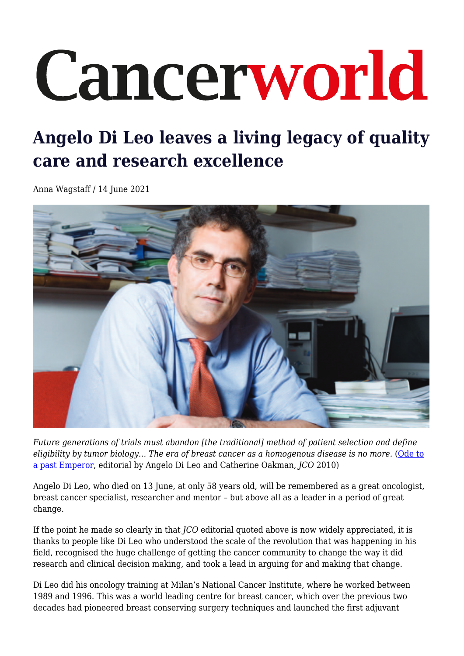## Cancerworld

## **Angelo Di Leo leaves a living legacy of quality care and research excellence**

Anna Wagstaff / 14 June 2021



*Future generations of trials must abandon [the traditional] method of patient selection and define eligibility by tumor biology… The era of breast cancer as a homogenous disease is no more.* ([Ode to](https://ascopubs.org/doi/10.1200/JCO.2010.28.4653) [a past Emperor](https://ascopubs.org/doi/10.1200/JCO.2010.28.4653), editorial by Angelo Di Leo and Catherine Oakman, *JCO* 2010)

Angelo Di Leo, who died on 13 June, at only 58 years old, will be remembered as a great oncologist, breast cancer specialist, researcher and mentor – but above all as a leader in a period of great change.

If the point he made so clearly in that *JCO* editorial quoted above is now widely appreciated, it is thanks to people like Di Leo who understood the scale of the revolution that was happening in his field, recognised the huge challenge of getting the cancer community to change the way it did research and clinical decision making, and took a lead in arguing for and making that change.

Di Leo did his oncology training at Milan's National Cancer Institute, where he worked between 1989 and 1996. This was a world leading centre for breast cancer, which over the previous two decades had pioneered breast conserving surgery techniques and launched the first adjuvant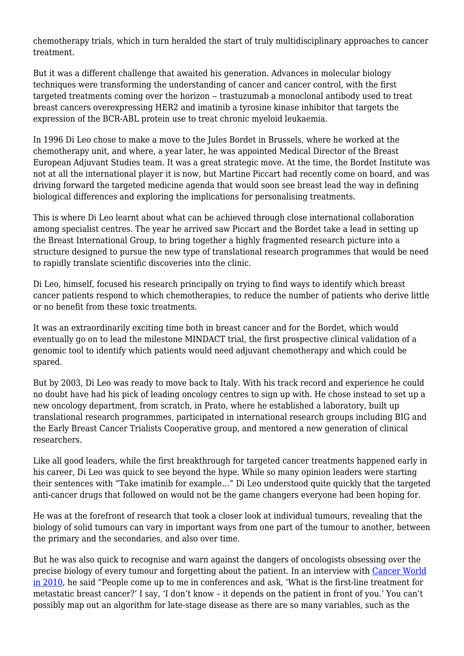chemotherapy trials, which in turn heralded the start of truly multidisciplinary approaches to cancer treatment.

But it was a different challenge that awaited his generation. Advances in molecular biology techniques were transforming the understanding of cancer and cancer control, with the first targeted treatments coming over the horizon – trastuzumab a monoclonal antibody used to treat breast cancers overexpressing HER2 and imatinib a tyrosine kinase inhibitor that targets the expression of the BCR-ABL protein use to treat chronic myeloid leukaemia.

In 1996 Di Leo chose to make a move to the Jules Bordet in Brussels, where he worked at the chemotherapy unit, and where, a year later, he was appointed Medical Director of the Breast European Adjuvant Studies team. It was a great strategic move. At the time, the Bordet Institute was not at all the international player it is now, but Martine Piccart had recently come on board, and was driving forward the targeted medicine agenda that would soon see breast lead the way in defining biological differences and exploring the implications for personalising treatments.

This is where Di Leo learnt about what can be achieved through close international collaboration among specialist centres. The year he arrived saw Piccart and the Bordet take a lead in setting up the Breast International Group, to bring together a highly fragmented research picture into a structure designed to pursue the new type of translational research programmes that would be need to rapidly translate scientific discoveries into the clinic.

Di Leo, himself, focused his research principally on trying to find ways to identify which breast cancer patients respond to which chemotherapies, to reduce the number of patients who derive little or no benefit from these toxic treatments.

It was an extraordinarily exciting time both in breast cancer and for the Bordet, which would eventually go on to lead the milestone MINDACT trial, the first prospective clinical validation of a genomic tool to identify which patients would need adjuvant chemotherapy and which could be spared.

But by 2003, Di Leo was ready to move back to Italy. With his track record and experience he could no doubt have had his pick of leading oncology centres to sign up with. He chose instead to set up a new oncology department, from scratch, in Prato, where he established a laboratory, built up translational research programmes, participated in international research groups including BIG and the Early Breast Cancer Trialists Cooperative group, and mentored a new generation of clinical researchers.

Like all good leaders, while the first breakthrough for targeted cancer treatments happened early in his career, Di Leo was quick to see beyond the hype. While so many opinion leaders were starting their sentences with "Take imatinib for example…" Di Leo understood quite quickly that the targeted anti-cancer drugs that followed on would not be the game changers everyone had been hoping for.

He was at the forefront of research that took a closer look at individual tumours, revealing that the biology of solid tumours can vary in important ways from one part of the tumour to another, between the primary and the secondaries, and also over time.

But he was also quick to recognise and warn against the dangers of oncologists obsessing over the precise biology of every tumour and forgetting about the patient. In an interview with [Cancer World](https://archive.cancerworld.net/wp-content/uploads/2017/06/8697_pagina_4-11_coverstory.pdf) [in 2010](https://archive.cancerworld.net/wp-content/uploads/2017/06/8697_pagina_4-11_coverstory.pdf), he said "People come up to me in conferences and ask, 'What is the first-line treatment for metastatic breast cancer?' I say, 'I don't know – it depends on the patient in front of you.' You can't possibly map out an algorithm for late-stage disease as there are so many variables, such as the